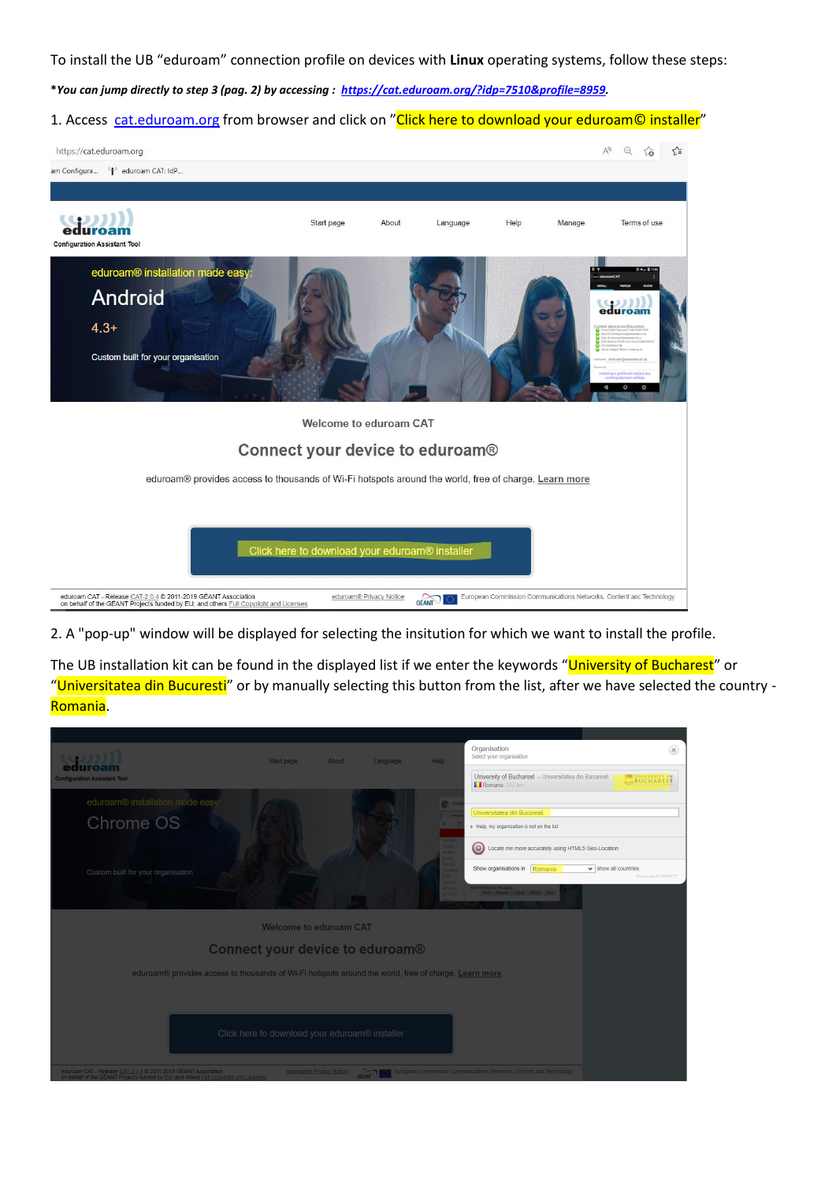To install the UB "eduroam" connection profile on devices with **Linux** operating systems, follow these steps:

**\****You can jump directly to step 3 (pag. 2) by accessing : [https://cat.eduroam.org/?idp=7510&profile=8959.](https://cat.eduroam.org/?idp=7510&profile=8959)*

## 1. Access [cat.eduroam.org](https://cat.eduroam.org/) from browser and click on "Click here to download your eduroam© installer"



2. A "pop-up" window will be displayed for selecting the insitution for which we want to install the profile.

The UB installation kit can be found in the displayed list if we enter the keywords "University of Bucharest" or "Universitatea din Bucuresti" or by manually selecting this button from the list, after we have selected the country -Romania.

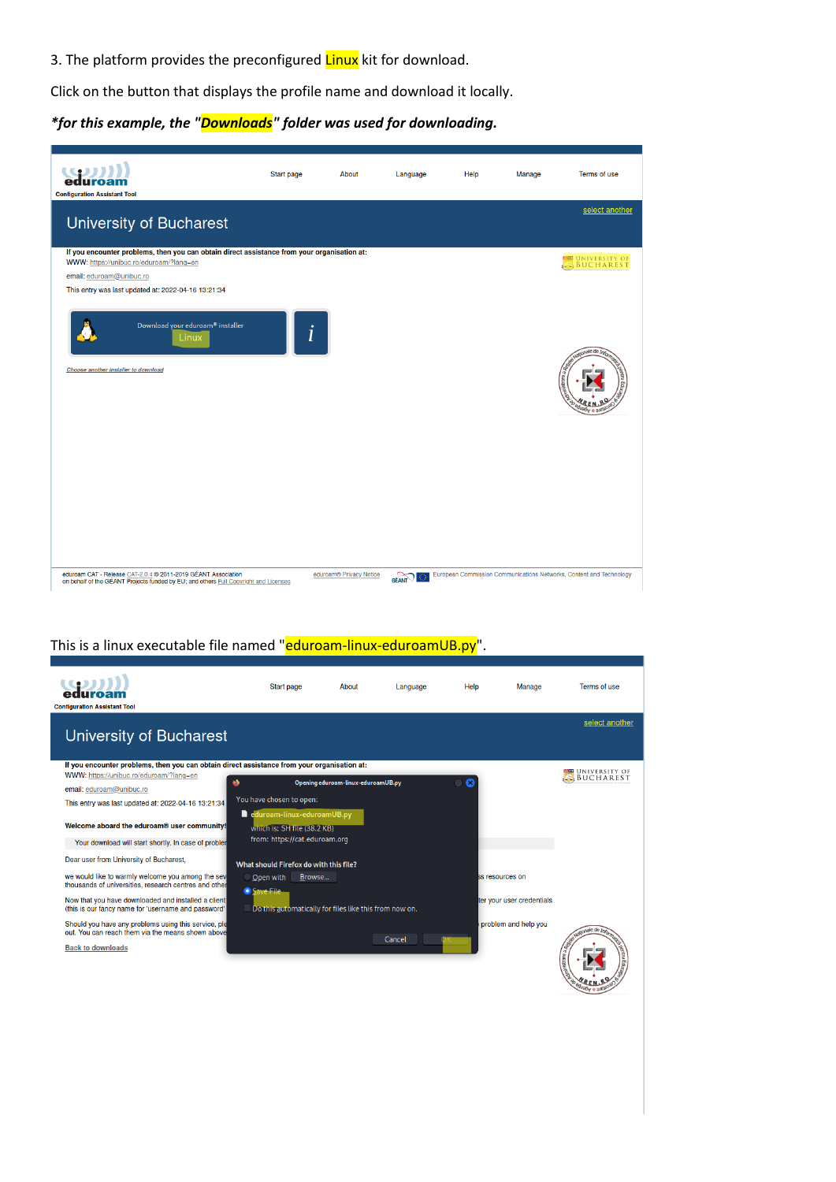3. The platform provides the preconfigured Linux kit for download.

Click on the button that displays the profile name and download it locally.

*\*for this example, the "Downloads" folder was used for downloading.*



## This is a linux executable file named "eduroam-linux-eduroamUB.py".

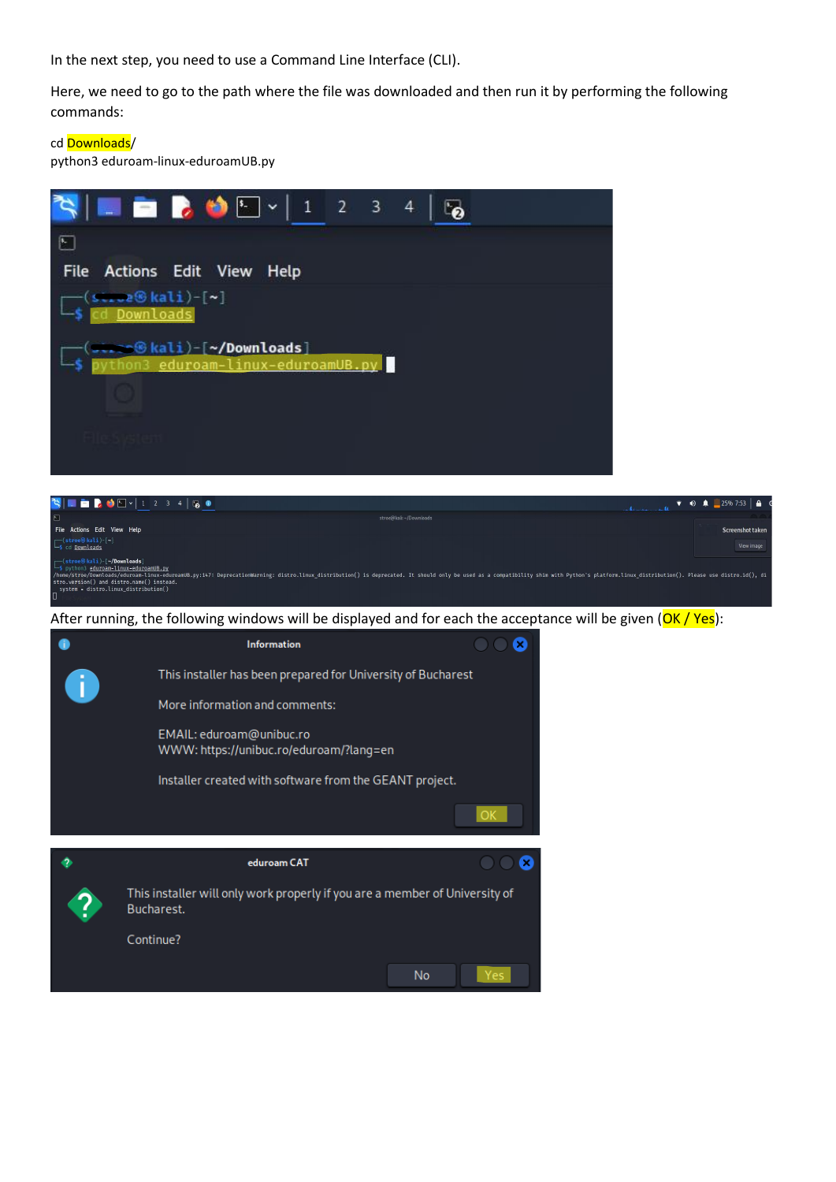In the next step, you need to use a Command Line Interface (CLI).

Here, we need to go to the path where the file was downloaded and then run it by performing the following commands:

## cd Downloads/

python3 eduroam-linux-eduroamUB.py



EMAIL: eduroam@unibuc.ro WWW: https://unibuc.ro/eduroam/?lang=en

Installer created with software from the GEANT project.

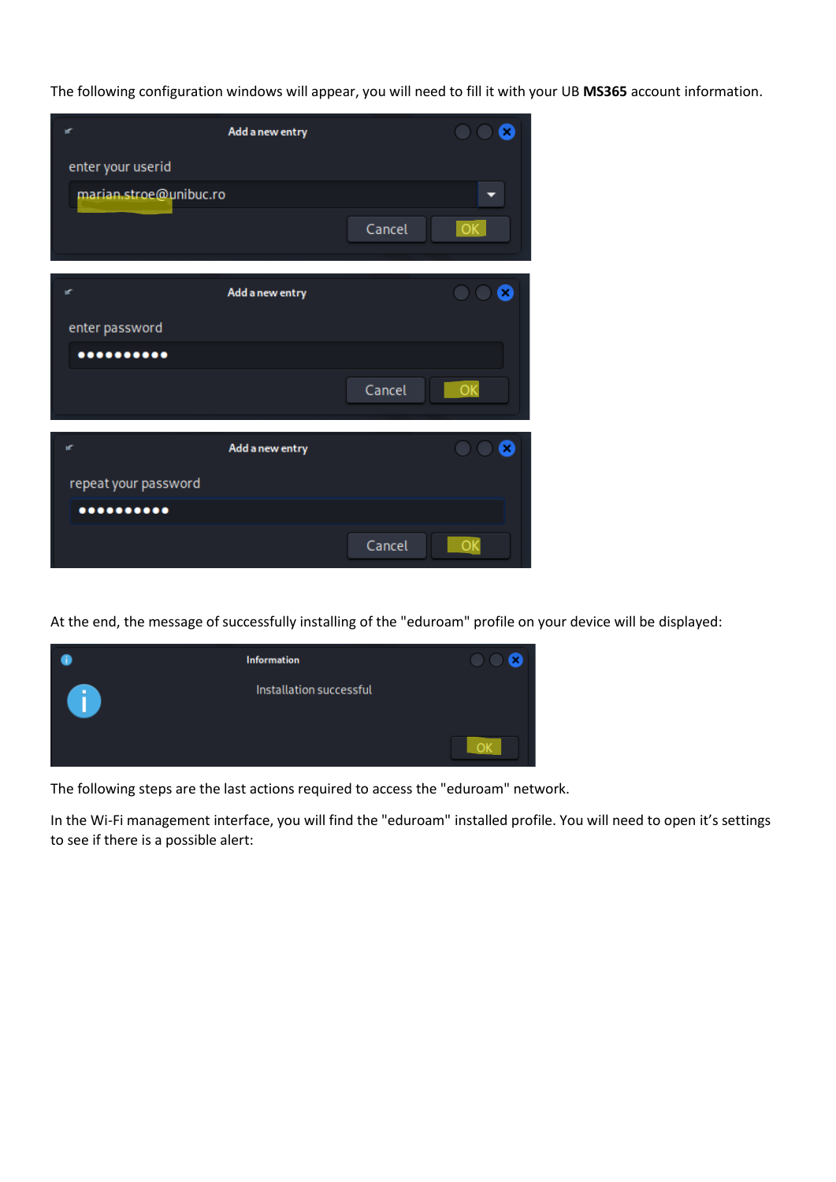The following configuration windows will appear, you will need to fill it with your UB **MS365** account information.

| œ                             | Add a new entry |        |                            |
|-------------------------------|-----------------|--------|----------------------------|
| enter your userid             |                 |        |                            |
| marian.stroe@unibuc.ro        |                 |        |                            |
|                               |                 | Cancel | OK.                        |
| ĸ                             | Add a new entry |        | Я<br>$\bigcirc$ $\bigcirc$ |
|                               |                 |        |                            |
| enter password<br>00000000000 |                 |        |                            |
|                               |                 |        |                            |
|                               |                 | Cancel | $-OK$                      |
| ĸ                             | Add a new entry |        | Q<br>$\bigcirc$ $\bigcirc$ |
| repeat your password          |                 |        |                            |
|                               |                 |        |                            |
|                               |                 | Cancel |                            |

At the end, the message of successfully installing of the "eduroam" profile on your device will be displayed:



The following steps are the last actions required to access the "eduroam" network.

In the Wi-Fi management interface, you will find the "eduroam" installed profile. You will need to open it's settings to see if there is a possible alert: